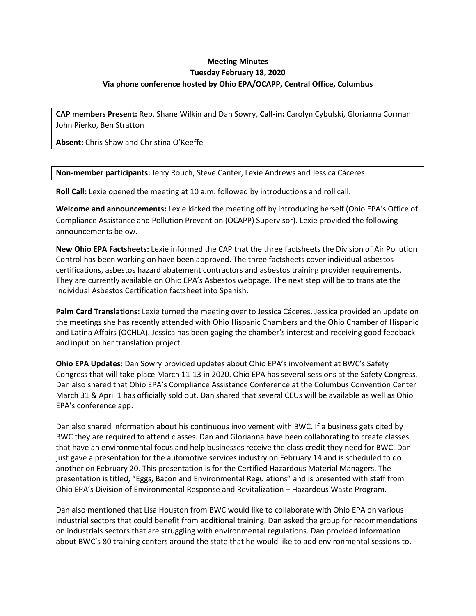## **Meeting Minutes Tuesday February 18, 2020 Via phone conference hosted by Ohio EPA/OCAPP, Central Office, Columbus**

**CAP members Present:** Rep. Shane Wilkin and Dan Sowry, **Call-in:** Carolyn Cybulski, Glorianna Corman John Pierko, Ben Stratton

**Absent:** Chris Shaw and Christina O'Keeffe

**Non-member participants:** Jerry Rouch, Steve Canter, Lexie Andrews and Jessica Cáceres

**Roll Call:** Lexie opened the meeting at 10 a.m. followed by introductions and roll call.

**Welcome and announcements:** Lexie kicked the meeting off by introducing herself (Ohio EPA's Office of Compliance Assistance and Pollution Prevention (OCAPP) Supervisor). Lexie provided the following announcements below.

**New Ohio EPA Factsheets:** Lexie informed the CAP that the three factsheets the Division of Air Pollution Control has been working on have been approved. The three factsheets cover individual asbestos certifications, asbestos hazard abatement contractors and asbestos training provider requirements. They are currently available on Ohio EPA's Asbestos webpage. The next step will be to translate the Individual Asbestos Certification factsheet into Spanish.

**Palm Card Translations:** Lexie turned the meeting over to Jessica Cáceres. Jessica provided an update on the meetings she has recently attended with Ohio Hispanic Chambers and the Ohio Chamber of Hispanic and Latina Affairs (OCHLA). Jessica has been gaging the chamber's interest and receiving good feedback and input on her translation project.

**Ohio EPA Updates:** Dan Sowry provided updates about Ohio EPA's involvement at BWC's Safety Congress that will take place March 11-13 in 2020. Ohio EPA has several sessions at the Safety Congress. Dan also shared that Ohio EPA's Compliance Assistance Conference at the Columbus Convention Center March 31 & April 1 has officially sold out. Dan shared that several CEUs will be available as well as Ohio EPA's conference app.

Dan also shared information about his continuous involvement with BWC. If a business gets cited by BWC they are required to attend classes. Dan and Glorianna have been collaborating to create classes that have an environmental focus and help businesses receive the class credit they need for BWC. Dan just gave a presentation for the automotive services industry on February 14 and is scheduled to do another on February 20. This presentation is for the Certified Hazardous Material Managers. The presentation is titled, "Eggs, Bacon and Environmental Regulations" and is presented with staff from Ohio EPA's Division of Environmental Response and Revitalization – Hazardous Waste Program.

Dan also mentioned that Lisa Houston from BWC would like to collaborate with Ohio EPA on various industrial sectors that could benefit from additional training. Dan asked the group for recommendations on industrials sectors that are struggling with environmental regulations. Dan provided information about BWC's 80 training centers around the state that he would like to add environmental sessions to.